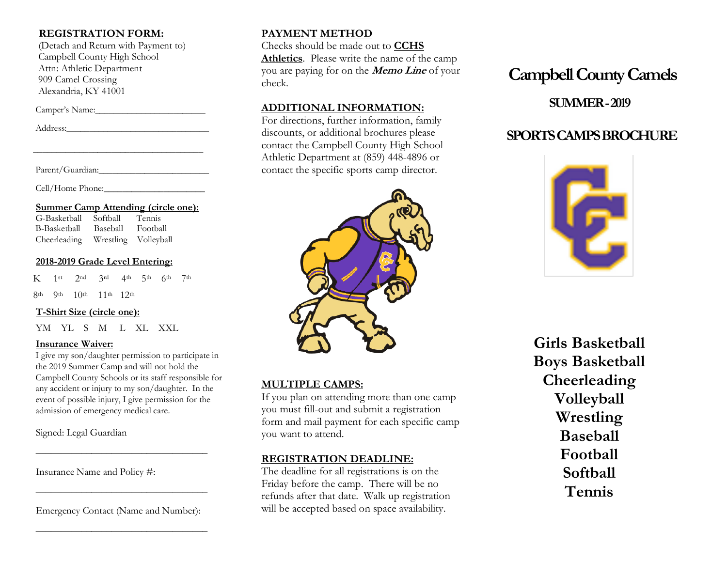#### **REGISTRATION FORM:**

 (Detach and Return with Payment to) Campbell County High School Attn: Athletic Department 909 Camel Crossing Alexandria, KY 41001

Camper's Name:

Address:\_\_\_\_\_\_\_\_\_\_\_\_\_\_\_\_\_\_\_\_\_\_\_\_\_\_\_\_\_\_\_

Parent/Guardian:

Cell/Home Phone:

#### **Summer Camp Attending (circle one):**

\_\_\_\_\_\_\_\_\_\_\_\_\_\_\_\_\_\_\_\_\_\_\_\_\_\_\_\_\_\_\_\_\_\_\_\_\_

| G-Basketball | Softball | <b>Tennis</b>        |
|--------------|----------|----------------------|
| B-Basketball | Baseball | Football             |
| Cheerleading |          | Wrestling Volleyball |

#### **2018-2019 Grade Level Entering:**

 $K$  1st 2nd 3rd 4th 5th 6th 7th

9th 10th 11th 12th

#### **T-Shirt Size (circle one):**

YM YL S M L XL XXL

#### **Insurance Waiver:**

I give my son/daughter permission to participate in the 2019 Summer Camp and will not hold the Campbell County Schools or its staff responsible for any accident or injury to my son/daughter. In the event of possible injury, I give permission for the admission of emergency medical care.

Signed: Legal Guardian

Insurance Name and Policy #:

Emergency Contact (Name and Number):

\_\_\_\_\_\_\_\_\_\_\_\_\_\_\_\_\_\_\_\_\_\_\_\_\_\_\_\_\_\_\_\_\_\_

\_\_\_\_\_\_\_\_\_\_\_\_\_\_\_\_\_\_\_\_\_\_\_\_\_\_\_\_\_\_\_\_\_\_

\_\_\_\_\_\_\_\_\_\_\_\_\_\_\_\_\_\_\_\_\_\_\_\_\_\_\_\_\_\_\_\_\_\_

## **PAYMENT METHOD**

Checks should be made out to **CCHS Athletics**. Please write the name of the camp you are paying for on the **Memo Line** of your check.

#### **ADDITIONAL INFORMATION:**

For directions, further information, family discounts, or additional brochures please contact the Campbell County High School Athletic Department at (859) 448-4896 or contact the specific sports camp director.



### **MULTIPLE CAMPS:**

If you plan on attending more than one camp you must fill-out and submit a registration form and mail payment for each specific camp you want to attend.

#### **REGISTRATION DEADLINE:**

The deadline for all registrations is on the Friday before the camp. There will be no refunds after that date. Walk up registration will be accepted based on space availability.

# **Campbell County Camels**

# **SUMMER -2019**

# **SPORTS CAMPS BROCHURE**



**Girls Basketball Boys Basketball Cheerleading Volleyball Wrestling Baseball Football Softball Tennis**